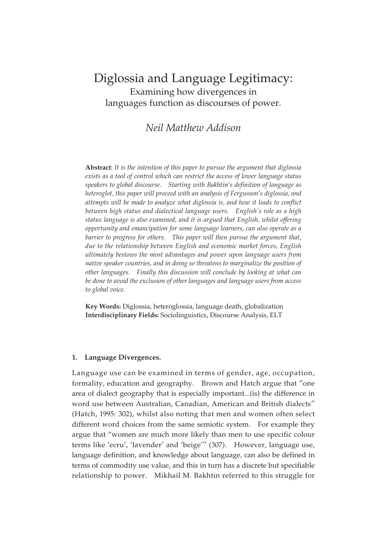# Diglossia and Language Legitimacy: Examining how divergences in languages function as discourses of power.

# *Neil Matthew Addison*

**Abstract**: *It is the intention of this paper to pursue the argument that diglossia exists as a tool of control which can restrict the access of lower language status speakers to global discourse. Starting with Bakhtin*'*s definition of language as heteroglot, this paper will proceed with an analysis of Fergusson's diglossia, and attempts will be made to analyze what diglossia is, and how it leads to conflict between high status and dialectical language users. English's role as a high status language is also examined, and it is argued that English, whilst offering opportunity and emancipation for some language learners, can also operate as a barrier to progress for others. This paper will then pursue the argument that, due to the relationship between English and economic market forces, English ultimately bestows the most advantages and power upon language users from native speaker countries, and in doing so threatens to marginalize the position of other languages. Finally this discussion will conclude by looking at what can be done to avoid the exclusion of other languages and language users from access to global voice.*

**Key Words:** Diglossia, heteroglossia, language death, globalization **Interdisciplinary Fields:** Sociolinguistics, Discourse Analysis, ELT

# **1. Language Divergences.**

Language use can be examined in terms of gender, age, occupation, formality, education and geography. Brown and Hatch argue that "one area of dialect geography that is especially important...(is) the difference in word use between Australian, Canadian, American and British dialects" (Hatch, 1995: 302), whilst also noting that men and women often select different word choices from the same semiotic system. For example they argue that "women are much more likely than men to use specific colour terms like 'ecru', 'lavender' and 'beige'" (307). However, language use, language definition, and knowledge about language, can also be defined in terms of commodity use value, and this in turn has a discrete but specifiable relationship to power. Mikhail M. Bakhtin referred to this struggle for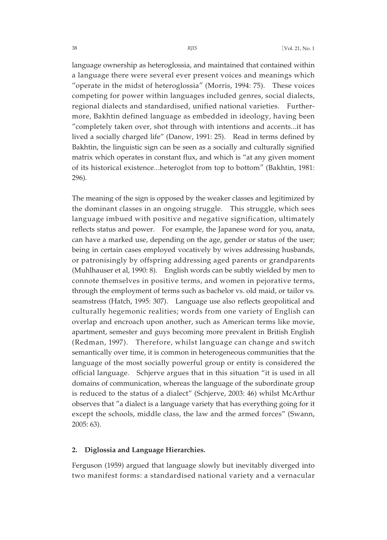language ownership as heteroglossia, and maintained that contained within a language there were several ever present voices and meanings which "operate in the midst of heteroglossia" (Morris, 1994: 75). These voices competing for power within languages included genres, social dialects, regional dialects and standardised, unified national varieties. Furthermore, Bakhtin defined language as embedded in ideology, having been "completely taken over, shot through with intentions and accents...it has lived a socially charged life" (Danow, 1991: 25). Read in terms defined by Bakhtin, the linguistic sign can be seen as a socially and culturally signified matrix which operates in constant flux, and which is "at any given moment of its historical existence...heteroglot from top to bottom" (Bakhtin, 1981: 296).

The meaning of the sign is opposed by the weaker classes and legitimized by the dominant classes in an ongoing struggle. This struggle, which sees language imbued with positive and negative signification, ultimately reflects status and power. For example, the Japanese word for you, anata, can have a marked use, depending on the age, gender or status of the user; being in certain cases employed vocatively by wives addressing husbands, or patronisingly by offspring addressing aged parents or grandparents (Muhlhauser et al, 1990: 8). English words can be subtly wielded by men to connote themselves in positive terms, and women in pejorative terms, through the employment of terms such as bachelor vs. old maid, or tailor vs. seamstress (Hatch, 1995: 307). Language use also reflects geopolitical and culturally hegemonic realities; words from one variety of English can overlap and encroach upon another, such as American terms like movie, apartment, semester and guys becoming more prevalent in British English (Redman, 1997). Therefore, whilst language can change and switch semantically over time, it is common in heterogeneous communities that the language of the most socially powerful group or entity is considered the official language. Schjerve argues that in this situation "it is used in all domains of communication, whereas the language of the subordinate group is reduced to the status of a dialect" (Schjerve, 2003: 46) whilst McArthur observes that "a dialect is a language variety that has everything going for it except the schools, middle class, the law and the armed forces" (Swann, 2005: 63).

#### **2. Diglossia and Language Hierarchies.**

Ferguson (1959) argued that language slowly but inevitably diverged into two manifest forms: a standardised national variety and a vernacular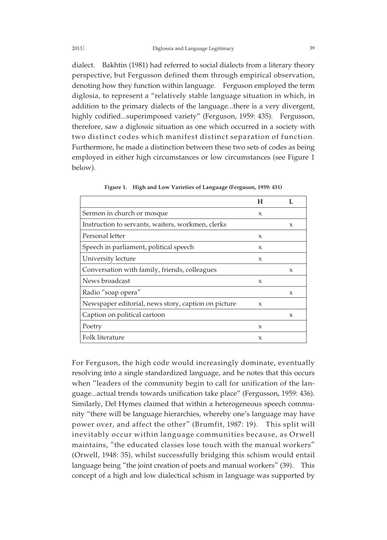dialect. Bakhtin (1981) had referred to social dialects from a literary theory perspective, but Fergusson defined them through empirical observation, denoting how they function within language. Ferguson employed the term diglosia, to represent a "relatively stable language situation in which, in addition to the primary dialects of the language...there is a very divergent, highly codified...superimposed variety" (Ferguson, 1959: 435). Fergusson, therefore, saw a diglossic situation as one which occurred in a society with two distinct codes which manifest distinct separation of function. Furthermore, he made a distinction between these two sets of codes as being employed in either high circumstances or low circumstances (see Figure 1 below).

|                                                     | н            |              |
|-----------------------------------------------------|--------------|--------------|
| Sermon in church or mosque                          | $\mathbf{x}$ |              |
| Instruction to servants, waiters, workmen, clerks   |              | X            |
| Personal letter                                     | X            |              |
| Speech in parliament, political speech              | X            |              |
| University lecture                                  | X            |              |
| Conversation with family, friends, colleagues       |              | X            |
| News broadcast                                      | X            |              |
| Radio "soap opera"                                  |              | X            |
| Newspaper editorial, news story, caption on picture | X            |              |
| Caption on political cartoon                        |              | $\mathbf{x}$ |
| Poetry                                              | X            |              |
| Folk literature                                     | X            |              |

**Figure 1. High and Low Varieties of Language (Ferguson, 1959: 431)**

For Ferguson, the high code would increasingly dominate, eventually resolving into a single standardized language, and he notes that this occurs when "leaders of the community begin to call for unification of the language...actual trends towards unification take place" (Fergusson, 1959: 436). Similarly, Del Hymes claimed that within a heterogeneous speech community "there will be language hierarchies, whereby one's language may have power over, and affect the other" (Brumfit, 1987: 19). This split will inevitably occur within language communities because, as Orwell maintains, "the educated classes lose touch with the manual workers" (Orwell, 1948: 35), whilst successfully bridging this schism would entail language being "the joint creation of poets and manual workers" (39). This concept of a high and low dialectical schism in language was supported by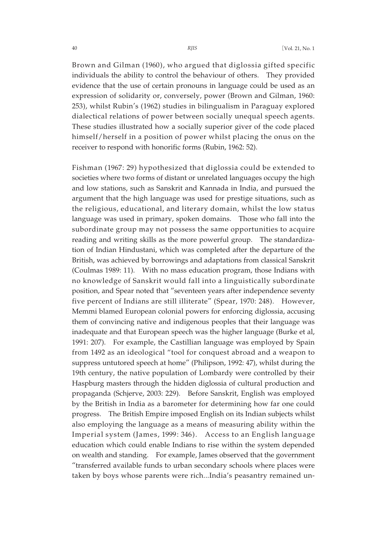Brown and Gilman (1960), who argued that diglossia gifted specific individuals the ability to control the behaviour of others. They provided evidence that the use of certain pronouns in language could be used as an expression of solidarity or, conversely, power (Brown and Gilman, 1960: 253), whilst Rubin's (1962) studies in bilingualism in Paraguay explored dialectical relations of power between socially unequal speech agents. These studies illustrated how a socially superior giver of the code placed himself/herself in a position of power whilst placing the onus on the receiver to respond with honorific forms (Rubin, 1962: 52).

Fishman (1967: 29) hypothesized that diglossia could be extended to societies where two forms of distant or unrelated languages occupy the high and low stations, such as Sanskrit and Kannada in India, and pursued the argument that the high language was used for prestige situations, such as the religious, educational, and literary domain, whilst the low status language was used in primary, spoken domains. Those who fall into the subordinate group may not possess the same opportunities to acquire reading and writing skills as the more powerful group. The standardization of Indian Hindustani, which was completed after the departure of the British, was achieved by borrowings and adaptations from classical Sanskrit (Coulmas 1989: 11). With no mass education program, those Indians with no knowledge of Sanskrit would fall into a linguistically subordinate position, and Spear noted that "seventeen years after independence seventy five percent of Indians are still illiterate" (Spear, 1970: 248). However, Memmi blamed European colonial powers for enforcing diglossia, accusing them of convincing native and indigenous peoples that their language was inadequate and that European speech was the higher language (Burke et al, 1991: 207). For example, the Castillian language was employed by Spain from 1492 as an ideological "tool for conquest abroad and a weapon to suppress untutored speech at home" (Philipson, 1992: 47), whilst during the 19th century, the native population of Lombardy were controlled by their Haspburg masters through the hidden diglossia of cultural production and propaganda (Schjerve, 2003: 229). Before Sanskrit, English was employed by the British in India as a barometer for determining how far one could progress. The British Empire imposed English on its Indian subjects whilst also employing the language as a means of measuring ability within the Imperial system (James, 1999: 346). Access to an English language education which could enable Indians to rise within the system depended on wealth and standing. For example, James observed that the government "transferred available funds to urban secondary schools where places were taken by boys whose parents were rich...India's peasantry remained un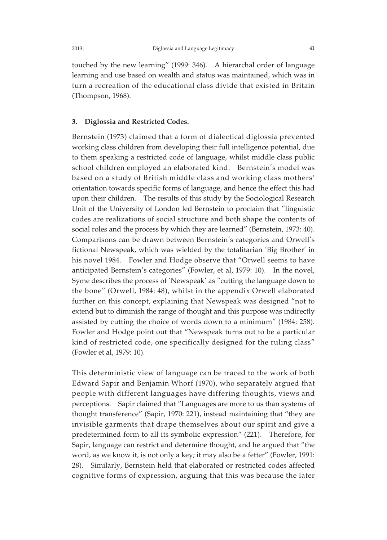touched by the new learning" (1999: 346). A hierarchal order of language learning and use based on wealth and status was maintained, which was in turn a recreation of the educational class divide that existed in Britain (Thompson, 1968).

# **3. Diglossia and Restricted Codes.**

Bernstein (1973) claimed that a form of dialectical diglossia prevented working class children from developing their full intelligence potential, due to them speaking a restricted code of language, whilst middle class public school children employed an elaborated kind. Bernstein's model was based on a study of British middle class and working class mothers' orientation towards specific forms of language, and hence the effect this had upon their children. The results of this study by the Sociological Research Unit of the University of London led Bernstein to proclaim that "linguistic codes are realizations of social structure and both shape the contents of social roles and the process by which they are learned" (Bernstein, 1973: 40). Comparisons can be drawn between Bernstein's categories and Orwell's fictional Newspeak, which was wielded by the totalitarian 'Big Brother' in his novel 1984. Fowler and Hodge observe that "Orwell seems to have anticipated Bernstein's categories" (Fowler, et al, 1979: 10). In the novel, Syme describes the process of 'Newspeak' as "cutting the language down to the bone" (Orwell, 1984: 48), whilst in the appendix Orwell elaborated further on this concept, explaining that Newspeak was designed "not to extend but to diminish the range of thought and this purpose was indirectly assisted by cutting the choice of words down to a minimum" (1984: 258). Fowler and Hodge point out that "Newspeak turns out to be a particular kind of restricted code, one specifically designed for the ruling class" (Fowler et al, 1979: 10).

This deterministic view of language can be traced to the work of both Edward Sapir and Benjamin Whorf (1970), who separately argued that people with different languages have differing thoughts, views and perceptions. Sapir claimed that "Languages are more to us than systems of thought transference" (Sapir, 1970: 221), instead maintaining that "they are invisible garments that drape themselves about our spirit and give a predetermined form to all its symbolic expression" (221). Therefore, for Sapir, language can restrict and determine thought, and he argued that "the word, as we know it, is not only a key; it may also be a fetter" (Fowler, 1991: 28). Similarly, Bernstein held that elaborated or restricted codes affected cognitive forms of expression, arguing that this was because the later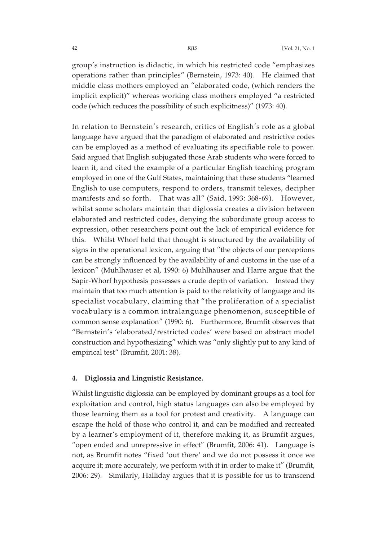group's instruction is didactic, in which his restricted code "emphasizes operations rather than principles" (Bernstein, 1973: 40). He claimed that middle class mothers employed an "elaborated code, (which renders the implicit explicit)" whereas working class mothers employed "a restricted code (which reduces the possibility of such explicitness)" (1973: 40).

In relation to Bernstein's research, critics of English's role as a global language have argued that the paradigm of elaborated and restrictive codes can be employed as a method of evaluating its specifiable role to power. Said argued that English subjugated those Arab students who were forced to learn it, and cited the example of a particular English teaching program employed in one of the Gulf States, maintaining that these students "learned English to use computers, respond to orders, transmit telexes, decipher manifests and so forth. That was all" (Said, 1993: 368-69). However, whilst some scholars maintain that diglossia creates a division between elaborated and restricted codes, denying the subordinate group access to expression, other researchers point out the lack of empirical evidence for this. Whilst Whorf held that thought is structured by the availability of signs in the operational lexicon, arguing that "the objects of our perceptions can be strongly influenced by the availability of and customs in the use of a lexicon" (Muhlhauser et al, 1990: 6) Muhlhauser and Harre argue that the Sapir-Whorf hypothesis possesses a crude depth of variation. Instead they maintain that too much attention is paid to the relativity of language and its specialist vocabulary, claiming that "the proliferation of a specialist vocabulary is a common intralanguage phenomenon, susceptible of common sense explanation" (1990: 6). Furthermore, Brumfit observes that "Bernstein's 'elaborated/restricted codes' were based on abstract model construction and hypothesizing" which was "only slightly put to any kind of empirical test" (Brumfit, 2001: 38).

#### **4. Diglossia and Linguistic Resistance.**

Whilst linguistic diglossia can be employed by dominant groups as a tool for exploitation and control, high status languages can also be employed by those learning them as a tool for protest and creativity. A language can escape the hold of those who control it, and can be modified and recreated by a learner's employment of it, therefore making it, as Brumfit argues, "open ended and unrepressive in effect" (Brumfit, 2006: 41). Language is not, as Brumfit notes "fixed 'out there' and we do not possess it once we acquire it; more accurately, we perform with it in order to make it" (Brumfit, 2006: 29). Similarly, Halliday argues that it is possible for us to transcend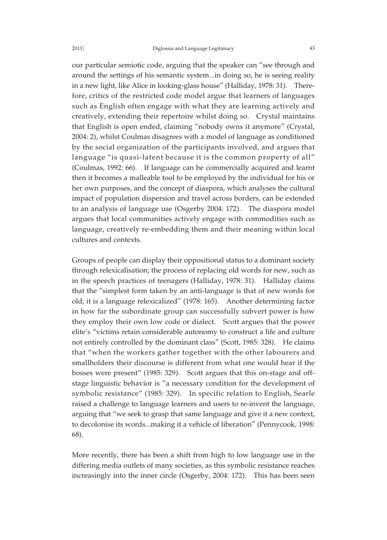our particular semiotic code, arguing that the speaker can "see through and around the settings of his semantic system...in doing so, he is seeing reality in a new light, like Alice in looking-glass house" (Halliday, 1978: 31). Therefore, critics of the restricted code model argue that learners of languages such as English often engage with what they are learning actively and creatively, extending their repertoire whilst doing so. Crystal maintains that English is open ended, claiming "nobody owns it anymore" (Crystal, 2004: 2), whilst Coulmas disagrees with a model of language as conditioned by the social organization of the participants involved, and argues that language "is quasi-latent because it is the common property of all" (Coulmas, 1992: 66). If language can be commercially acquired and learnt then it becomes a malleable tool to be employed by the individual for his or her own purposes, and the concept of diaspora, which analyses the cultural impact of population dispersion and travel across borders, can be extended to an analysis of language use (Osgerby 2004: 172). The diaspora model argues that local communities actively engage with commodities such as language, creatively re-embedding them and their meaning within local cultures and contexts.

Groups of people can display their oppositional status to a dominant society through relexicalisation; the process of replacing old words for new, such as in the speech practices of teenagers (Halliday, 1978: 31). Halliday claims that the "simplest form taken by an anti-language is that of new words for old; it is a language relexicalized" (1978: 165). Another determining factor in how far the subordinate group can successfully subvert power is how they employ their own low code or dialect. Scott argues that the power elite's "victims retain considerable autonomy to construct a life and culture not entirely controlled by the dominant class" (Scott, 1985: 328). He claims that "when the workers gather together with the other labourers and smallholders their discourse is different from what one would hear if the bosses were present" (1985: 329). Scott argues that this on-stage and offstage linguistic behavior is "a necessary condition for the development of symbolic resistance" (1985: 329). In specific relation to English, Searle raised a challenge to language learners and users to re-invent the language, arguing that "we seek to grasp that same language and give it a new context, to decolonise its words...making it a vehicle of liberation" (Pennycook, 1998: 68).

More recently, there has been a shift from high to low language use in the differing media outlets of many societies, as this symbolic resistance reaches increasingly into the inner circle (Osgerby, 2004: 172). This has been seen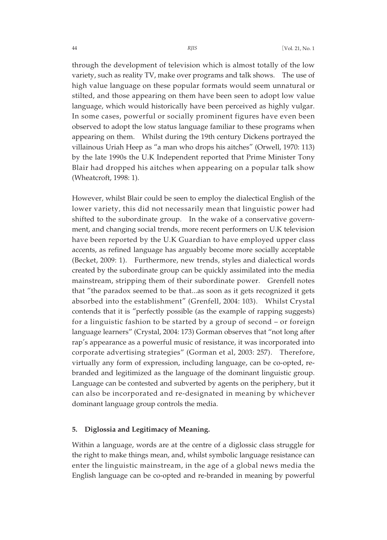through the development of television which is almost totally of the low variety, such as reality TV, make over programs and talk shows. The use of high value language on these popular formats would seem unnatural or stilted, and those appearing on them have been seen to adopt low value language, which would historically have been perceived as highly vulgar. In some cases, powerful or socially prominent figures have even been observed to adopt the low status language familiar to these programs when appearing on them. Whilst during the 19th century Dickens portrayed the villainous Uriah Heep as "a man who drops his aitches" (Orwell, 1970: 113) by the late 1990s the U.K Independent reported that Prime Minister Tony Blair had dropped his aitches when appearing on a popular talk show (Wheatcroft, 1998: 1).

However, whilst Blair could be seen to employ the dialectical English of the lower variety, this did not necessarily mean that linguistic power had shifted to the subordinate group. In the wake of a conservative government, and changing social trends, more recent performers on U.K television have been reported by the U.K Guardian to have employed upper class accents, as refined language has arguably become more socially acceptable (Becket, 2009: 1). Furthermore, new trends, styles and dialectical words created by the subordinate group can be quickly assimilated into the media mainstream, stripping them of their subordinate power. Grenfell notes that "the paradox seemed to be that...as soon as it gets recognized it gets absorbed into the establishment" (Grenfell, 2004: 103). Whilst Crystal contends that it is "perfectly possible (as the example of rapping suggests) for a linguistic fashion to be started by a group of second – or foreign language learners" (Crystal, 2004: 173) Gorman observes that "not long after rap's appearance as a powerful music of resistance, it was incorporated into corporate advertising strategies" (Gorman et al, 2003: 257). Therefore, virtually any form of expression, including language, can be co-opted, rebranded and legitimized as the language of the dominant linguistic group. Language can be contested and subverted by agents on the periphery, but it can also be incorporated and re-designated in meaning by whichever dominant language group controls the media.

#### **5. Diglossia and Legitimacy of Meaning.**

Within a language, words are at the centre of a diglossic class struggle for the right to make things mean, and, whilst symbolic language resistance can enter the linguistic mainstream, in the age of a global news media the English language can be co-opted and re-branded in meaning by powerful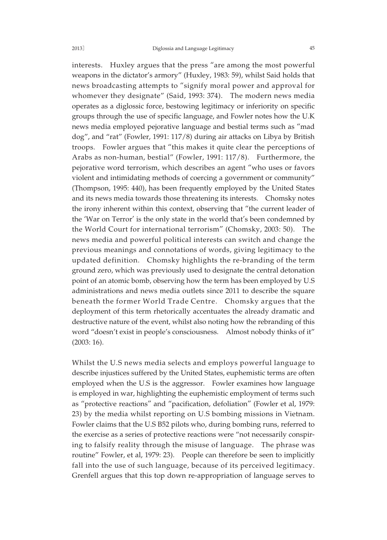interests. Huxley argues that the press "are among the most powerful weapons in the dictator's armory" (Huxley, 1983: 59), whilst Said holds that news broadcasting attempts to "signify moral power and approval for whomever they designate" (Said, 1993: 374). The modern news media operates as a diglossic force, bestowing legitimacy or inferiority on specific groups through the use of specific language, and Fowler notes how the U.K news media employed pejorative language and bestial terms such as "mad dog", and "rat" (Fowler, 1991: 117/8) during air attacks on Libya by British troops. Fowler argues that "this makes it quite clear the perceptions of Arabs as non-human, bestial" (Fowler, 1991: 117/8). Furthermore, the pejorative word terrorism, which describes an agent "who uses or favors violent and intimidating methods of coercing a government or community" (Thompson, 1995: 440), has been frequently employed by the United States and its news media towards those threatening its interests. Chomsky notes the irony inherent within this context, observing that "the current leader of the 'War on Terror' is the only state in the world that's been condemned by the World Court for international terrorism" (Chomsky, 2003: 50). The news media and powerful political interests can switch and change the previous meanings and connotations of words, giving legitimacy to the updated definition. Chomsky highlights the re-branding of the term ground zero, which was previously used to designate the central detonation point of an atomic bomb, observing how the term has been employed by U.S administrations and news media outlets since 2011 to describe the square beneath the former World Trade Centre. Chomsky argues that the deployment of this term rhetorically accentuates the already dramatic and destructive nature of the event, whilst also noting how the rebranding of this word "doesn't exist in people's consciousness. Almost nobody thinks of it" (2003: 16).

Whilst the U.S news media selects and employs powerful language to describe injustices suffered by the United States, euphemistic terms are often employed when the U.S is the aggressor. Fowler examines how language is employed in war, highlighting the euphemistic employment of terms such as "protective reactions" and "pacification, defoliation" (Fowler et al, 1979: 23) by the media whilst reporting on U.S bombing missions in Vietnam. Fowler claims that the U.S B52 pilots who, during bombing runs, referred to the exercise as a series of protective reactions were "not necessarily conspiring to falsify reality through the misuse of language. The phrase was routine" Fowler, et al, 1979: 23). People can therefore be seen to implicitly fall into the use of such language, because of its perceived legitimacy. Grenfell argues that this top down re-appropriation of language serves to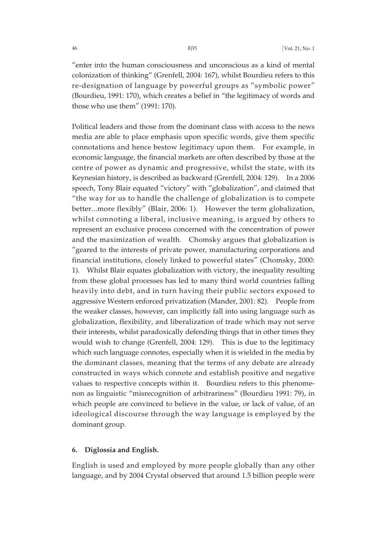"enter into the human consciousness and unconscious as a kind of mental colonization of thinking" (Grenfell, 2004: 167), whilst Bourdieu refers to this re-designation of language by powerful groups as "symbolic power" (Bourdieu, 1991: 170), which creates a belief in "the legitimacy of words and those who use them" (1991: 170).

Political leaders and those from the dominant class with access to the news media are able to place emphasis upon specific words, give them specific connotations and hence bestow legitimacy upon them. For example, in economic language, the financial markets are often described by those at the centre of power as dynamic and progressive, whilst the state, with its Keynesian history, is described as backward (Grenfell, 2004: 129). In a 2006 speech, Tony Blair equated "victory" with "globalization", and claimed that "the way for us to handle the challenge of globalization is to compete better...more flexibly" (Blair, 2006: 1). However the term globalization, whilst connoting a liberal, inclusive meaning, is argued by others to represent an exclusive process concerned with the concentration of power and the maximization of wealth. Chomsky argues that globalization is "geared to the interests of private power, manufacturing corporations and financial institutions, closely linked to powerful states" (Chomsky, 2000: 1). Whilst Blair equates globalization with victory, the inequality resulting from these global processes has led to many third world countries falling heavily into debt, and in turn having their public sectors exposed to aggressive Western enforced privatization (Mander, 2001: 82). People from the weaker classes, however, can implicitly fall into using language such as globalization, flexibility, and liberalization of trade which may not serve their interests, whilst paradoxically defending things that in other times they would wish to change (Grenfell, 2004: 129). This is due to the legitimacy which such language connotes, especially when it is wielded in the media by the dominant classes, meaning that the terms of any debate are already constructed in ways which connote and establish positive and negative values to respective concepts within it. Bourdieu refers to this phenomenon as linguistic "misrecognition of arbitrariness" (Bourdieu 1991: 79), in which people are convinced to believe in the value, or lack of value, of an ideological discourse through the way language is employed by the dominant group.

# **6. Diglossia and English.**

English is used and employed by more people globally than any other language, and by 2004 Crystal observed that around 1.5 billion people were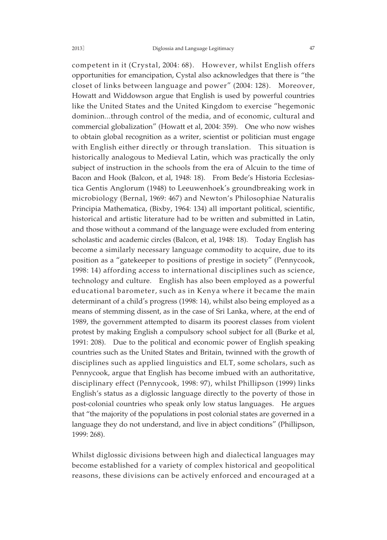competent in it (Crystal, 2004: 68). However, whilst English offers opportunities for emancipation, Cystal also acknowledges that there is "the closet of links between language and power" (2004: 128). Moreover, Howatt and Widdowson argue that English is used by powerful countries like the United States and the United Kingdom to exercise "hegemonic dominion...through control of the media, and of economic, cultural and commercial globalization" (Howatt et al, 2004: 359). One who now wishes to obtain global recognition as a writer, scientist or politician must engage with English either directly or through translation. This situation is historically analogous to Medieval Latin, which was practically the only subject of instruction in the schools from the era of Alcuin to the time of Bacon and Hook (Balcon, et al, 1948: 18). From Bede's Historia Ecclesiastica Gentis Anglorum (1948) to Leeuwenhoek's groundbreaking work in microbiology (Bernal, 1969: 467) and Newton's Philosophiae Naturalis Principia Mathematica, (Bixby, 1964: 134) all important political, scientific, historical and artistic literature had to be written and submitted in Latin, and those without a command of the language were excluded from entering scholastic and academic circles (Balcon, et al, 1948: 18). Today English has become a similarly necessary language commodity to acquire, due to its position as a "gatekeeper to positions of prestige in society" (Pennycook, 1998: 14) affording access to international disciplines such as science, technology and culture. English has also been employed as a powerful educational barometer, such as in Kenya where it became the main determinant of a child's progress (1998: 14), whilst also being employed as a means of stemming dissent, as in the case of Sri Lanka, where, at the end of 1989, the government attempted to disarm its poorest classes from violent protest by making English a compulsory school subject for all (Burke et al, 1991: 208). Due to the political and economic power of English speaking countries such as the United States and Britain, twinned with the growth of disciplines such as applied linguistics and ELT, some scholars, such as

Pennycook, argue that English has become imbued with an authoritative, disciplinary effect (Pennycook, 1998: 97), whilst Phillipson (1999) links English's status as a diglossic language directly to the poverty of those in post-colonial countries who speak only low status languages. He argues that "the majority of the populations in post colonial states are governed in a language they do not understand, and live in abject conditions" (Phillipson, 1999: 268).

Whilst diglossic divisions between high and dialectical languages may become established for a variety of complex historical and geopolitical reasons, these divisions can be actively enforced and encouraged at a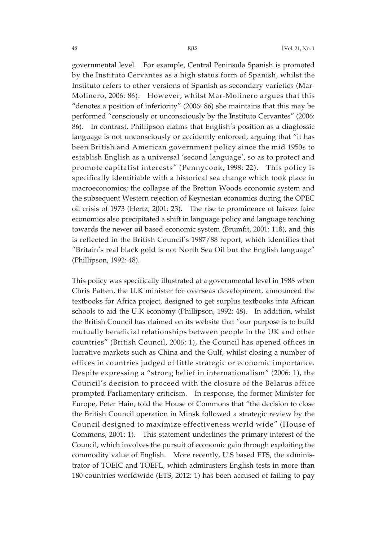governmental level. For example, Central Peninsula Spanish is promoted by the Instituto Cervantes as a high status form of Spanish, whilst the Instituto refers to other versions of Spanish as secondary varieties (Mar-Molinero, 2006: 86). However, whilst Mar-Molinero argues that this "denotes a position of inferiority" (2006: 86) she maintains that this may be performed "consciously or unconsciously by the Instituto Cervantes" (2006: 86). In contrast, Phillipson claims that English's position as a diaglossic language is not unconsciously or accidently enforced, arguing that "it has been British and American government policy since the mid 1950s to establish English as a universal 'second language', so as to protect and promote capitalist interests" (Pennycook, 1998: 22). This policy is specifically identifiable with a historical sea change which took place in macroeconomics; the collapse of the Bretton Woods economic system and the subsequent Western rejection of Keynesian economics during the OPEC oil crisis of 1973 (Hertz, 2001: 23). The rise to prominence of laissez faire economics also precipitated a shift in language policy and language teaching towards the newer oil based economic system (Brumfit, 2001: 118), and this is reflected in the British Council's 1987/88 report, which identifies that "Britain's real black gold is not North Sea Oil but the English language" (Phillipson, 1992: 48).

This policy was specifically illustrated at a governmental level in 1988 when Chris Patten, the U.K minister for overseas development, announced the textbooks for Africa project, designed to get surplus textbooks into African schools to aid the U.K economy (Phillipson, 1992: 48). In addition, whilst the British Council has claimed on its website that "our purpose is to build mutually beneficial relationships between people in the UK and other countries" (British Council, 2006: 1), the Council has opened offices in lucrative markets such as China and the Gulf, whilst closing a number of offices in countries judged of little strategic or economic importance. Despite expressing a "strong belief in internationalism" (2006: 1), the Council's decision to proceed with the closure of the Belarus office prompted Parliamentary criticism. In response, the former Minister for Europe, Peter Hain, told the House of Commons that "the decision to close the British Council operation in Minsk followed a strategic review by the Council designed to maximize effectiveness world wide" (House of Commons, 2001: 1). This statement underlines the primary interest of the Council, which involves the pursuit of economic gain through exploiting the commodity value of English. More recently, U.S based ETS, the administrator of TOEIC and TOEFL, which administers English tests in more than 180 countries worldwide (ETS, 2012: 1) has been accused of failing to pay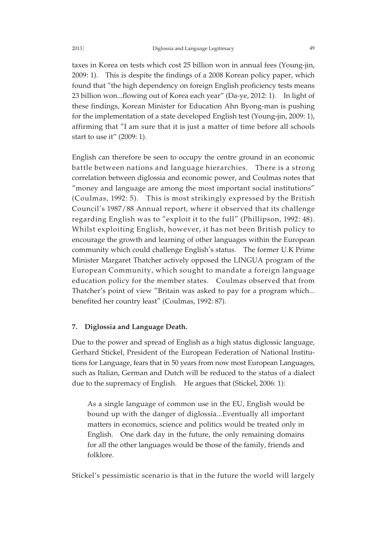taxes in Korea on tests which cost 25 billion won in annual fees (Young-jin, 2009: 1). This is despite the findings of a 2008 Korean policy paper, which found that "the high dependency on foreign English proficiency tests means 23 billion won...flowing out of Korea each year" (Da-ye, 2012: 1). In light of these findings, Korean Minister for Education Ahn Byong-man is pushing for the implementation of a state developed English test (Young-jin, 2009: 1), affirming that "I am sure that it is just a matter of time before all schools start to use it" (2009: 1).

English can therefore be seen to occupy the centre ground in an economic battle between nations and language hierarchies. There is a strong correlation between diglossia and economic power, and Coulmas notes that "money and language are among the most important social institutions" (Coulmas, 1992: 5). This is most strikingly expressed by the British Council's 1987/88 Annual report, where it observed that its challenge regarding English was to "exploit it to the full" (Phillipson, 1992: 48). Whilst exploiting English, however, it has not been British policy to encourage the growth and learning of other languages within the European community which could challenge English's status. The former U.K Prime Minister Margaret Thatcher actively opposed the LINGUA program of the European Community, which sought to mandate a foreign language education policy for the member states. Coulmas observed that from Thatcher's point of view "Britain was asked to pay for a program which... benefited her country least" (Coulmas, 1992: 87).

# **7. Diglossia and Language Death.**

Due to the power and spread of English as a high status diglossic language, Gerhard Stickel, President of the European Federation of National Institutions for Language, fears that in 50 years from now most European Languages, such as Italian, German and Dutch will be reduced to the status of a dialect due to the supremacy of English. He argues that (Stickel, 2006: 1):

As a single language of common use in the EU, English would be bound up with the danger of diglossia...Eventually all important matters in economics, science and politics would be treated only in English. One dark day in the future, the only remaining domains for all the other languages would be those of the family, friends and folklore.

Stickel's pessimistic scenario is that in the future the world will largely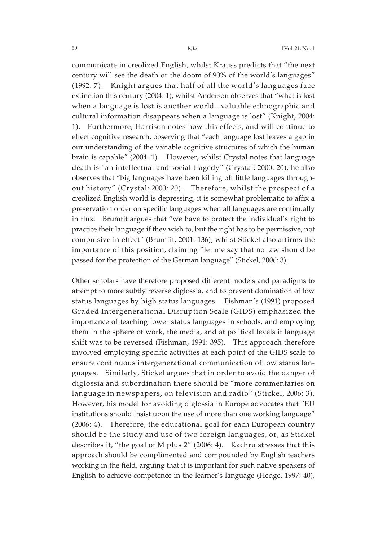communicate in creolized English, whilst Krauss predicts that "the next century will see the death or the doom of 90% of the world's languages" (1992: 7). Knight argues that half of all the world's languages face extinction this century (2004: 1), whilst Anderson observes that "what is lost when a language is lost is another world...valuable ethnographic and cultural information disappears when a language is lost" (Knight, 2004: 1). Furthermore, Harrison notes how this effects, and will continue to effect cognitive research, observing that "each language lost leaves a gap in our understanding of the variable cognitive structures of which the human brain is capable" (2004: 1). However, whilst Crystal notes that language death is "an intellectual and social tragedy" (Crystal: 2000: 20), he also observes that "big languages have been killing off little languages throughout history" (Crystal: 2000: 20). Therefore, whilst the prospect of a creolized English world is depressing, it is somewhat problematic to affix a preservation order on specific languages when all languages are continually in flux. Brumfit argues that "we have to protect the individual's right to practice their language if they wish to, but the right has to be permissive, not compulsive in effect" (Brumfit, 2001: 136), whilst Stickel also affirms the importance of this position, claiming "let me say that no law should be passed for the protection of the German language" (Stickel, 2006: 3).

Other scholars have therefore proposed different models and paradigms to attempt to more subtly reverse diglossia, and to prevent domination of low status languages by high status languages. Fishman's (1991) proposed Graded Intergenerational Disruption Scale (GIDS) emphasized the importance of teaching lower status languages in schools, and employing them in the sphere of work, the media, and at political levels if language shift was to be reversed (Fishman, 1991: 395). This approach therefore involved employing specific activities at each point of the GIDS scale to ensure continuous intergenerational communication of low status languages. Similarly, Stickel argues that in order to avoid the danger of diglossia and subordination there should be "more commentaries on language in newspapers, on television and radio" (Stickel, 2006: 3). However, his model for avoiding diglossia in Europe advocates that "EU institutions should insist upon the use of more than one working language" (2006: 4). Therefore, the educational goal for each European country should be the study and use of two foreign languages, or, as Stickel describes it, "the goal of M plus 2" (2006: 4). Kachru stresses that this approach should be complimented and compounded by English teachers working in the field, arguing that it is important for such native speakers of English to achieve competence in the learner's language (Hedge, 1997: 40),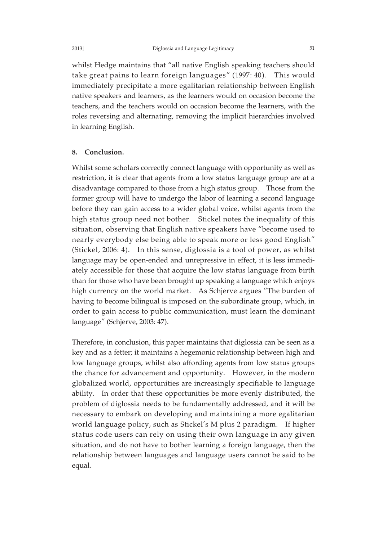whilst Hedge maintains that "all native English speaking teachers should take great pains to learn foreign languages" (1997: 40). This would immediately precipitate a more egalitarian relationship between English native speakers and learners, as the learners would on occasion become the teachers, and the teachers would on occasion become the learners, with the roles reversing and alternating, removing the implicit hierarchies involved in learning English.

#### **8. Conclusion.**

Whilst some scholars correctly connect language with opportunity as well as restriction, it is clear that agents from a low status language group are at a disadvantage compared to those from a high status group. Those from the former group will have to undergo the labor of learning a second language before they can gain access to a wider global voice, whilst agents from the high status group need not bother. Stickel notes the inequality of this situation, observing that English native speakers have "become used to nearly everybody else being able to speak more or less good English" (Stickel, 2006: 4). In this sense, diglossia is a tool of power, as whilst language may be open-ended and unrepressive in effect, it is less immediately accessible for those that acquire the low status language from birth than for those who have been brought up speaking a language which enjoys high currency on the world market. As Schjerve argues "The burden of having to become bilingual is imposed on the subordinate group, which, in order to gain access to public communication, must learn the dominant language" (Schjerve, 2003: 47).

Therefore, in conclusion, this paper maintains that diglossia can be seen as a key and as a fetter; it maintains a hegemonic relationship between high and low language groups, whilst also affording agents from low status groups the chance for advancement and opportunity. However, in the modern globalized world, opportunities are increasingly specifiable to language ability. In order that these opportunities be more evenly distributed, the problem of diglossia needs to be fundamentally addressed, and it will be necessary to embark on developing and maintaining a more egalitarian world language policy, such as Stickel's M plus 2 paradigm. If higher status code users can rely on using their own language in any given situation, and do not have to bother learning a foreign language, then the relationship between languages and language users cannot be said to be equal.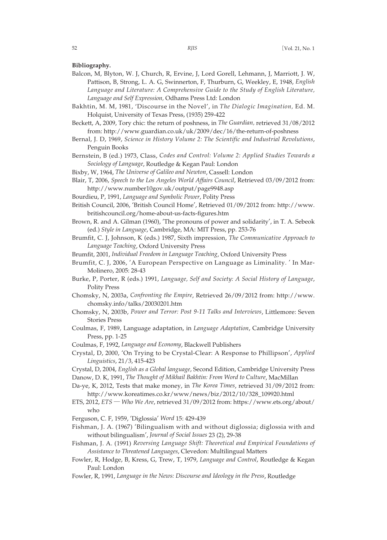**Bibliography.**

- Balcon, M, Blyton, W. J, Church, R, Ervine, J, Lord Gorell, Lehmann, J, Marriott, J. W, Pattison, B, Strong, L. A. G, Swinnerton, F, Thurburn, G, Weekley, E, 1948, *English Language and Literature: A Comprehensive Guide to the Study of English Literature, Language and Self Expression,* Odhams Press Ltd: London
- Bakhtin, M. M, 1981, 'Discourse in the Novel', in *The Dialogic Imagination,* Ed. M. Holquist, University of Texas Press, (1935) 259-422
- Beckett, A, 2009, Tory chic: the return of poshness, in *The Guardian,* retrieved 31/08/2012 from: http://www.guardian.co.uk/uk/2009/dec/16/the-return-of-poshness
- Bernal, J. D, 1969, *Science in History Volume 2: The Scientific and Industrial Revolutions*, Penguin Books
- Bernstein, B (ed.) 1973, Class, *Codes and Control: Volume 2: Applied Studies Towards a Sociology of Language*, Routledge & Kegan Paul: London

Bixby, W, 1964, *The Universe of Galileo and Newton*, Cassell: London

- Blair, T, 2006, *Speech to the Los Angeles World Affairs Council*, Retrieved 03/09/2012 from: http://www.number10gov.uk/output/page9948.asp
- Bourdieu, P, 1991, *Language and Symbolic Power*, Polity Press
- British Council, 2006, 'British Council Home', Retrieved 01/09/2012 from: http://www. britishcouncil.org/home-about-us-facts-figures.htm
- Brown, R. and A. Gilman (1960), 'The pronouns of power and solidarity', in T. A. Sebeok (ed.) *Style in Language*, Cambridge, MA: MIT Press, pp. 253-76
- Brumfit, C. J, Johnson, K (eds.) 1987, Sixth impression, *The Communicative Approach to Language Teaching*, Oxford University Press

Brumfit, 2001, *Individual Freedom in Language Teaching*, Oxford University Press

- Brumfit, C. J, 2006, 'A European Perspective on Language as Liminality. ' In Mar-Molinero, 2005: 28-43
- Burke, P, Porter, R (eds.) 1991, *Language, Self and Society: A Social History of Language*, Polity Press
- Chomsky, N, 2003a, *Confronting the Empire*, Retrieved 26/09/2012 from: http://www. chomsky.info/talks/20030201.htm
- Chomsky, N, 2003b, *Power and Terror: Post 9-11 Talks and Interviews*, Littlemore: Seven Stories Press
- Coulmas, F, 1989, Language adaptation, in *Language Adaptation*, Cambridge University Press, pp. 1-25
- Coulmas, F, 1992, *Language and Economy*, Blackwell Publishers
- Crystal, D, 2000, 'On Trying to be Crystal-Clear: A Response to Phillipson', *Applied Linguistics*, 21/3, 415-423
- Crystal, D, 2004, *English as a Global language*, Second Edition, Cambridge University Press
- Danow, D. K, 1991, *The Thought of Mikhail Bakhtin: From Word to Culture*, MacMillan
- Da-ye, K, 2012, Tests that make money, in *The Korea Times*, retrieved 31/09/2012 from: http://www.koreatimes.co.kr/www/news/biz/2012/10/328\_109920.html
- ETS, 2012, *ETS* ─ *Who We Are*, retrieved 31/09/2012 from: https://www.ets.org/about/ who
- Ferguson, C. F, 1959, 'Diglossia' *Word* 15: 429-439
- Fishman, J. A. (1967) 'Bilingualism with and without diglossia; diglossia with and without bilingualism', *Journal of Social Issues* 23 (2), 29-38
- Fishman, J. A. (1991) *Reversing Language Shift: Theoretical and Empirical Foundations of Assistance to Threatened Languages*, Clevedon: Multilingual Matters
- Fowler, R, Hodge, B, Kress, G, Trew, T, 1979, *Language and Control*, Routledge & Kegan Paul: London
- Fowler, R, 1991, *Language in the News: Discourse and Ideology in the Press*, Routledge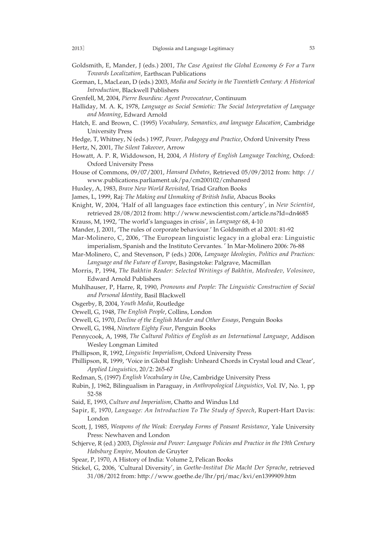- Goldsmith, E, Mander, J (eds.) 2001, *The Case Against the Global Economy & For a Turn Towards Localization*, Earthscan Publications
- Gorman, L, MacLean, D (eds.) 2003, *Media and Society in the Twentieth Century: A Historical Introduction*, Blackwell Publishers
- Grenfell, M, 2004, *Pierre Bourdieu: Agent Provocateur*, Continuum
- Halliday, M. A. K, 1978, *Language as Social Semiotic: The Social Interpretation of Language and Meaning*, Edward Arnold
- Hatch, E. and Brown, C. (1995) *Vocabulary, Semantics, and language Education*, Cambridge University Press
- Hedge, T, Whitney, N (eds.) 1997, *Power, Pedagogy and Practice*, Oxford University Press
- Hertz, N, 2001, *The Silent Takeover*, Arrow
- Howatt, A. P. R, Widdowson, H, 2004, *A History of English Language Teaching*, Oxford: Oxford University Press
- House of Commons, 09/07/2001, *Hansard Debates*, Retrieved 05/09/2012 from: http: // www.publications.parliament.uk/pa/cm200102/cmhansrd
- Huxley, A, 1983, *Brave New World Revisited*, Triad Grafton Books
- James, L, 1999, Raj: *The Making and Unmaking of British India*, Abacus Books

Knight, W, 2004, 'Half of all languages face extinction this century', in *New Scientist*, retrieved 28/08/2012 from: http://www.newscientist.com/article.ns?Id=dn4685

- Krauss, M, 1992, 'The world's languages in crisis', in *Language* 68, 4-10
- Mander, J, 2001, 'The rules of corporate behaviour.' In Goldsmith et al 2001: 81-92

Mar-Molinero, C, 2006, 'The European linguistic legacy in a global era: Linguistic imperialism, Spanish and the Instituto Cervantes. ' In Mar-Molinero 2006: 76-88

- Mar-Molinero, C, and Stevenson, P (eds.) 2006, *Language Ideologies, Politics and Practices: Language and the Future of Europe*, Basingstoke: Palgrave, Macmillan
- Morris, P, 1994, *The Bakhtin Reader: Selected Writings of Bakhtin, Medvedev, Volosinov*, Edward Arnold Publishers
- Muhlhauser, P, Harre, R, 1990, *Pronouns and People: The Linguistic Construction of Social and Personal Identity*, Basil Blackwell
- Osgerby, B, 2004, *Youth Media*, Routledge
- Orwell, G, 1948, *The English People*, Collins, London
- Orwell, G, 1970, *Decline of the English Murder and Other Essays*, Penguin Books
- Orwell, G, 1984, *Nineteen Eighty Four*, Penguin Books
- Pennycook, A, 1998, *The Cultural Politics of English as an International Language*, Addison Wesley Longman Limited
- Phillipson, R, 1992, *Linguistic Imperialism*, Oxford University Press
- Phillipson, R, 1999, 'Voice in Global English: Unheard Chords in Crystal loud and Clear', *Applied Linguistics*, 20/2: 265-67
- Redman, S, (1997) *English Vocabulary in Us*e, Cambridge University Press
- Rubin, J, 1962, Bilingualism in Paraguay, in *Anthropological Linguistics*, Vol. IV, No. 1, pp 52-58
- Said, E, 1993, *Culture and Imperialism*, Chatto and Windus Ltd
- Sapir, E, 1970, *Language: An Introduction To The Study of Speech*, Rupert-Hart Davis: London
- Scott, J, 1985, *Weapons of the Weak: Everyday Forms of Peasant Resistance*, Yale University Press: Newhaven and London
- Schjerve, R (ed.) 2003, *Diglossia and Power: Language Policies and Practice in the 19th Century Habsburg Empire*, Mouton de Gruyter
- Spear, P, 1970, A History of India: Volume 2, Pelican Books
- Stickel, G, 2006, 'Cultural Diversity', in *Goethe-Institut Die Macht Der Sprache*, retrieved 31/08/2012 from: http://www.goethe.de/lhr/prj/mac/kvi/en1399909.htm